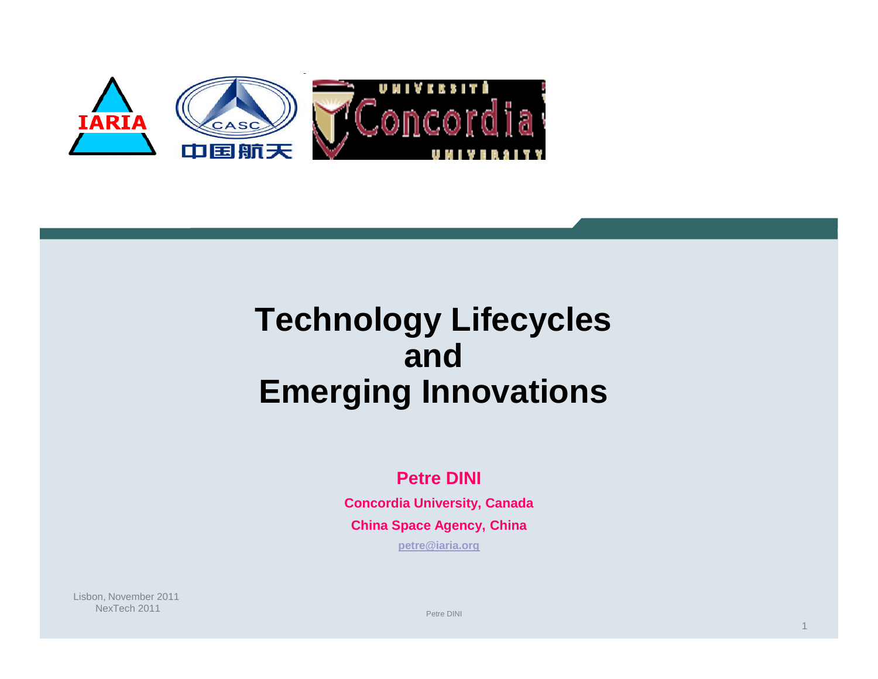

## **Technology Lifecycles and Emerging Innovations**

#### **Petre DINI**

**Concordia University, Canada China Space Agency, China**

**petre@iaria.org**

Lisbon, November 2011 NexTech 2011

Petre DINI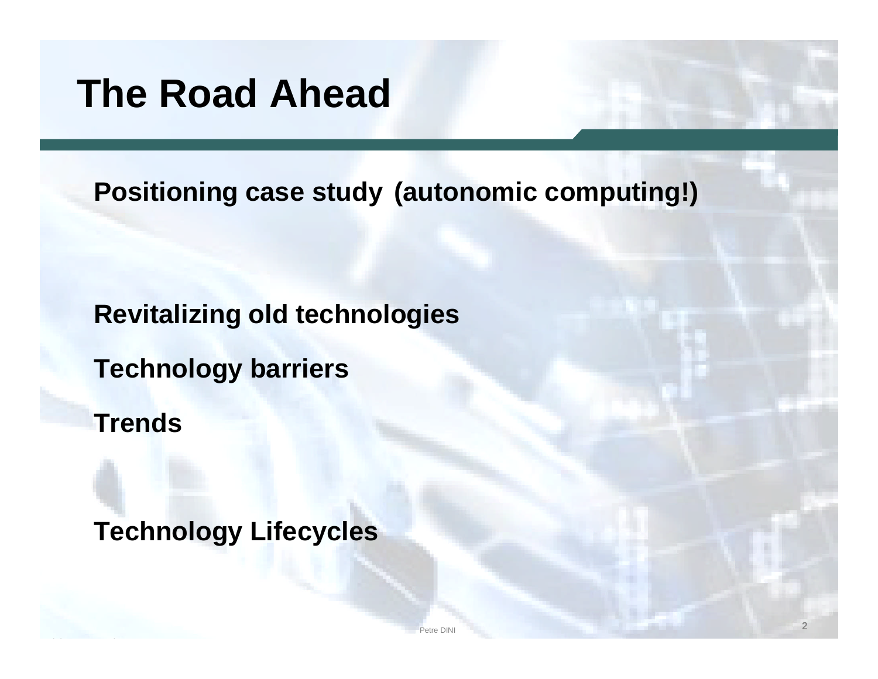# **The Road Ahead**

**Positioning case study (autonomic computing!)**

**Revitalizing old technologies**

**Technology barriers**

**Trends**

**Technology Lifecycles**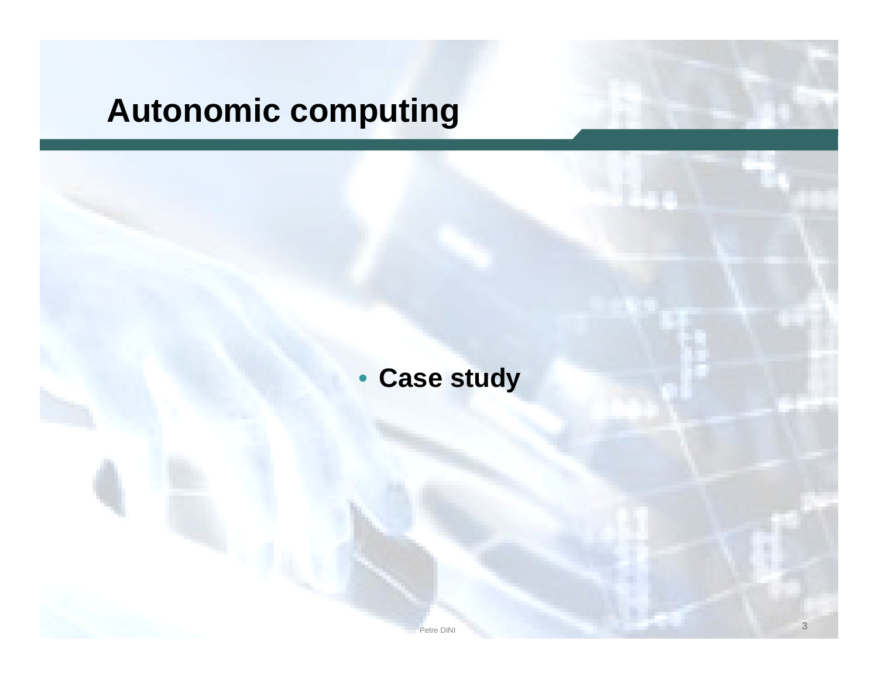# **Autonomic computing**

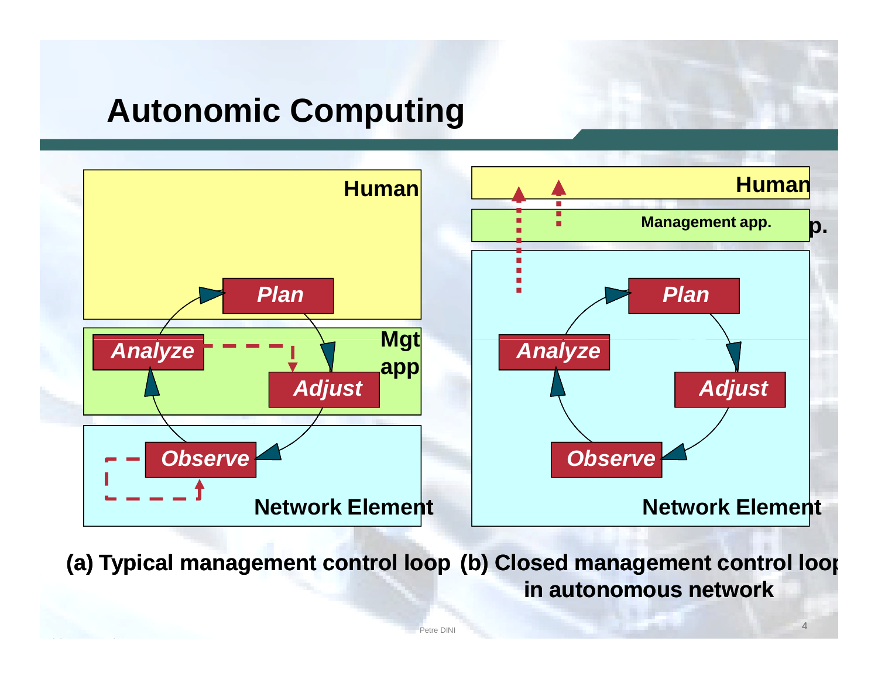## **Autonomic Computing**



**(a) Typical management control loop (b) Closed management control loop in autonomous network**

Petre DINI **4**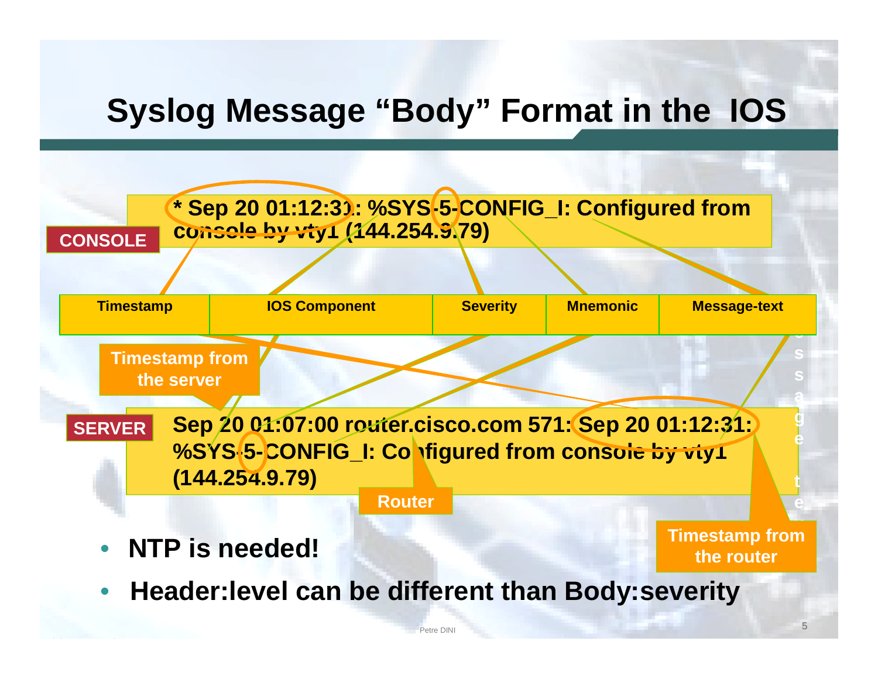## **Syslog Message "Body" Format in the IOS**

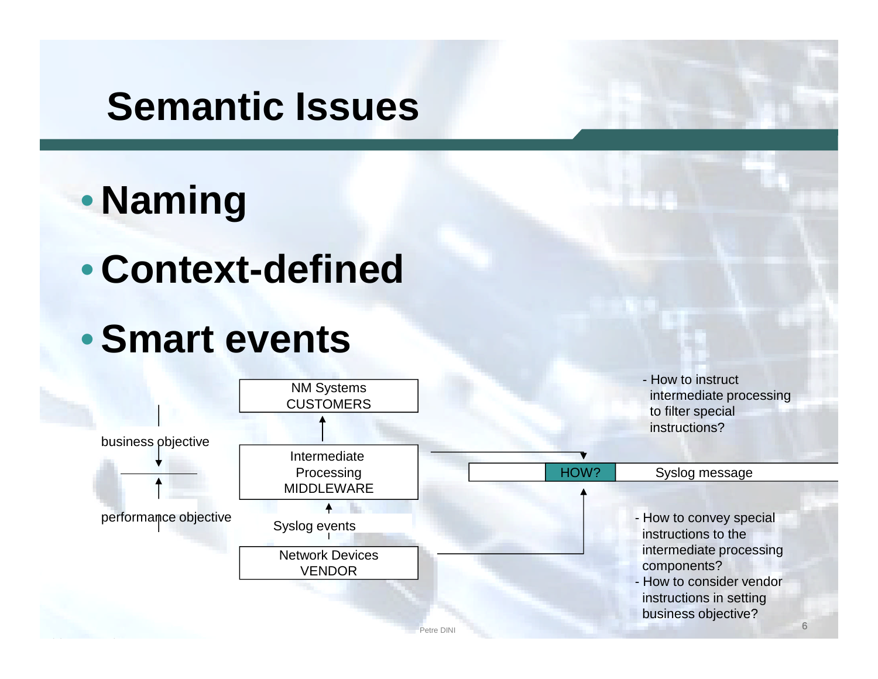# **Semantic Issues**

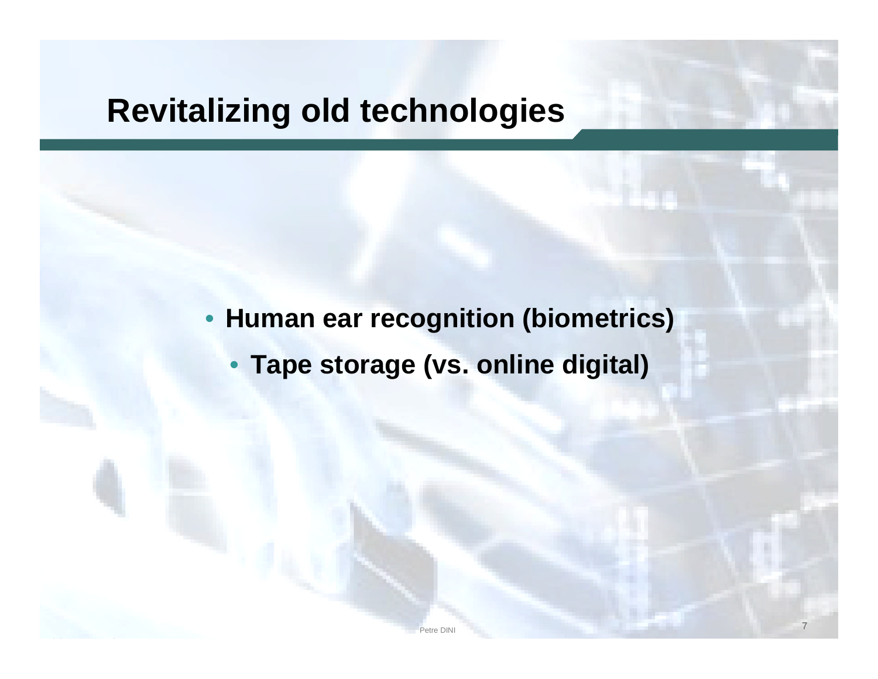### **Revitalizing old technologies**

• **Human ear recognition (biometrics)**

• **Tape storage (vs. online digital)**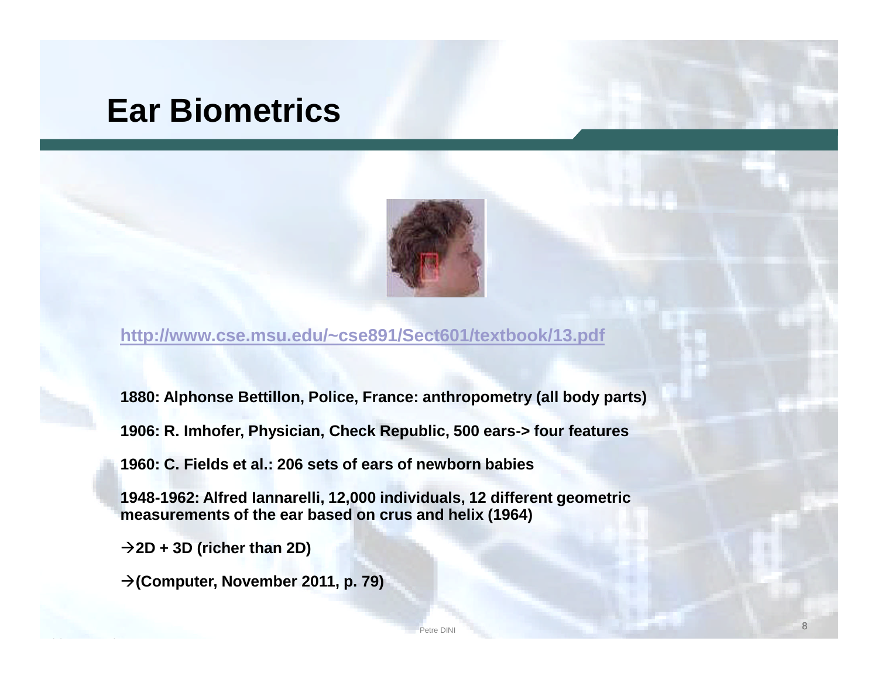### **Ear Biometrics**



**http://www.cse.msu.edu/~cse891/Sect601/textbook/13.pdf**

**1880: Alphonse Bettillon, Police, France: anthropometry (all body parts)**

**1906: R. Imhofer, Physician, Check Republic, 500 ears-> four features**

**1960: C. Fields et al.: 206 sets of ears of newborn babies**

**1948-1962: Alfred Iannarelli, 12,000 individuals, 12 different geometric measurements of the ear based on crus and helix (1964)**

**2D + 3D (richer than 2D)**

**(Computer, November 2011, p. 79)**

etre DINI and the contract of the contract of the contract of the contract of the contract of the contract of the contract of the contract of the contract of the contract of the contract of the contract of the contract of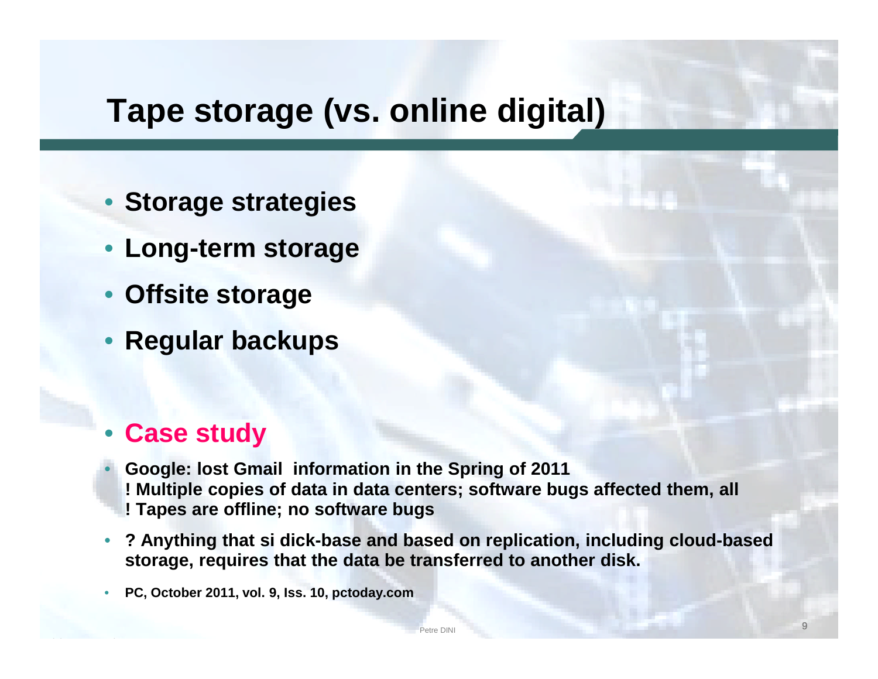## **Tape storage (vs. online digital)**

- **Storage strategies**
- **Long-term storage**
- **Offsite storage**
- **Regular backups**

#### • **Case study**

- **Google: lost Gmail information in the Spring of 2011 ! Multiple copies of data in data centers; software bugs affected them, all ! Tapes are offline; no software bugs**
- **? Anything that si dick-base and based on replication, including cloud-based storage, requires that the data be transferred to another disk.**

etre DINI and the state of the state of the state of the state of the state of the state of the state of the state of the state of the state of the state of the state of the state of the state of the state of the state of

• **PC, October 2011, vol. 9, Iss. 10, pctoday.com**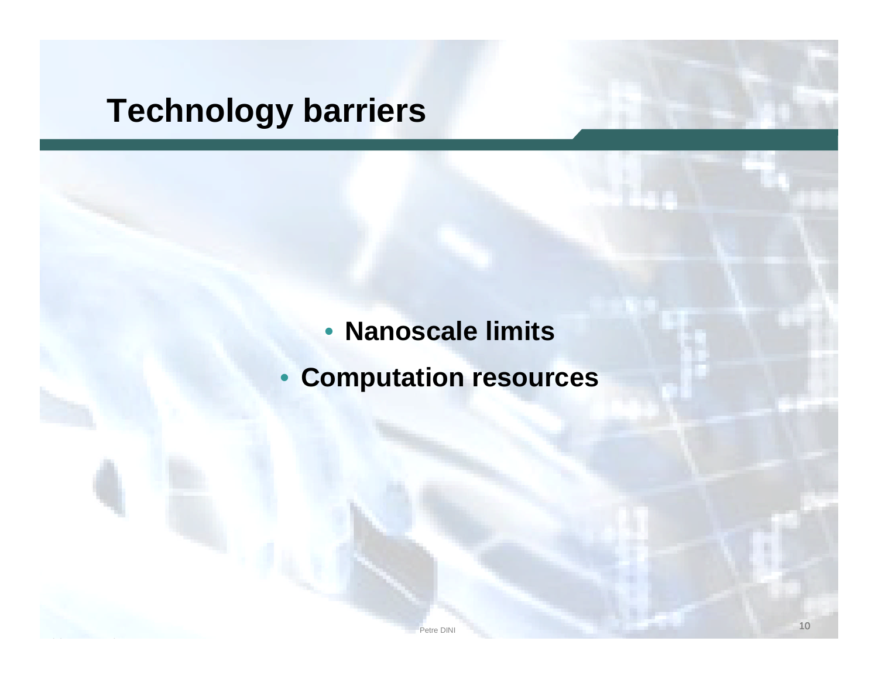## **Technology barriers**

#### • **Nanoscale limits**

• **Computation resources**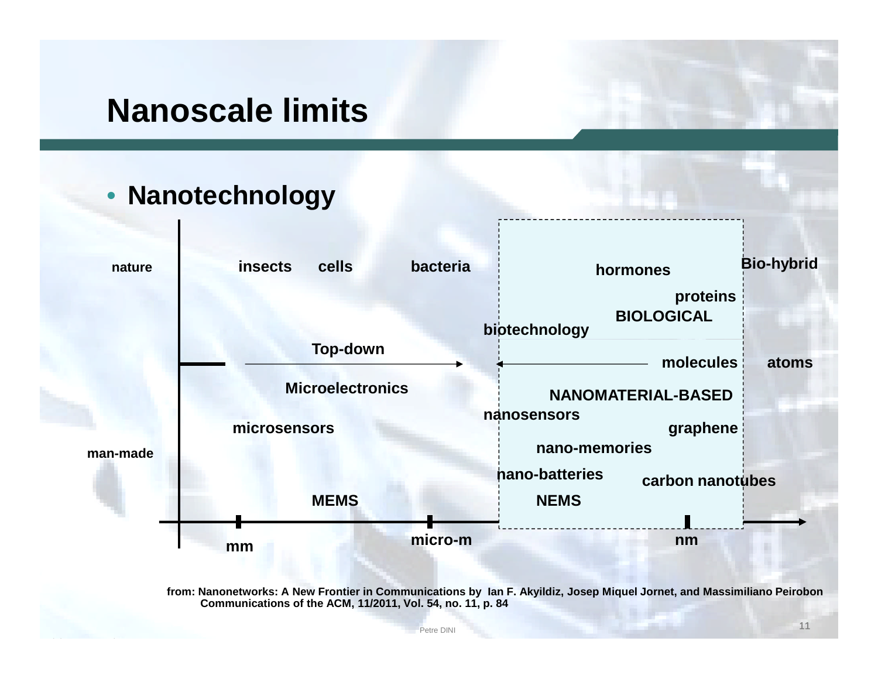### **Nanoscale limits**

#### • **Nanotechnology**



**from: Nanonetworks: A New Frontier in Communications by Ian F. Akyildiz, Josep Miquel Jornet, and Massimiliano Peirobon Communications of the ACM, 11/2011, Vol. 54, no. 11, p. 84**

Petre DINI Petre DINI Petre DINI PERSONAL PROPERTY AND THE UNIVERSE OF THE UNIVERSE OF THE UNIVERSE OF THE UNIVERSE OF THE UNIVERSE OF THE UNIVERSE OF THE UNIVERSE OF THE UNIVERSE OF THE UNIVERSE OF THE UNIVERSE OF THE UNI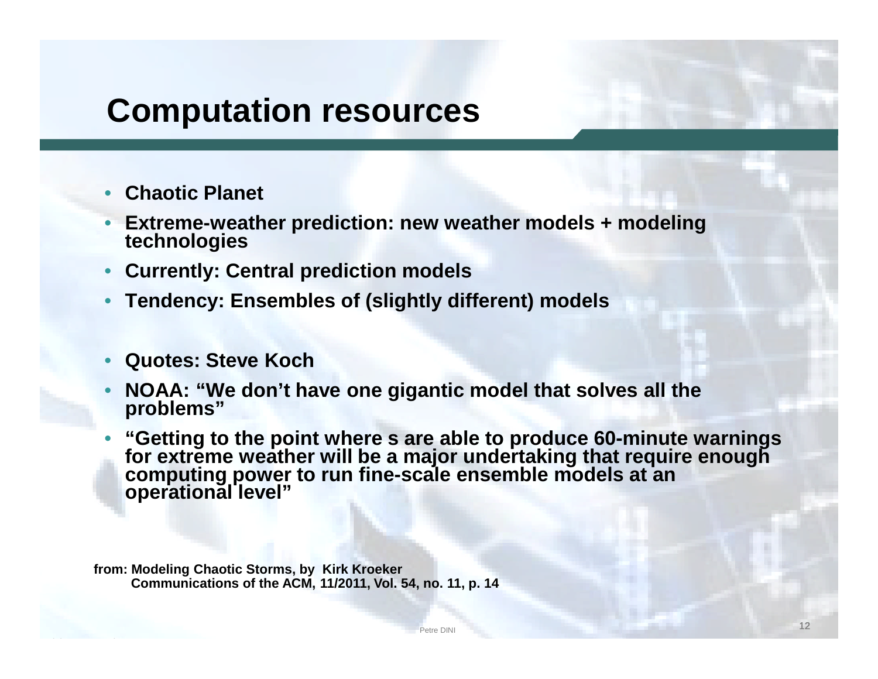### **Computation resources**

- **Chaotic Planet**
- **Extreme-weather prediction: new weather models + modeling technologies**
- **Currently: Central prediction models**
- **Tendency: Ensembles of (slightly different) models**
- **Quotes: Steve Koch**
- **NOAA: "We don't have one gigantic model that solves all the problems"**
- **"Getting to the point where s are able to produce 60-minute warnings for extreme weather will be a major undertaking that require enough computing power to run fine-scale ensemble models at an operational level"**

**from: Modeling Chaotic Storms, by Kirk Kroeker Communications of the ACM, 11/2011, Vol. 54, no. 11, p. 14**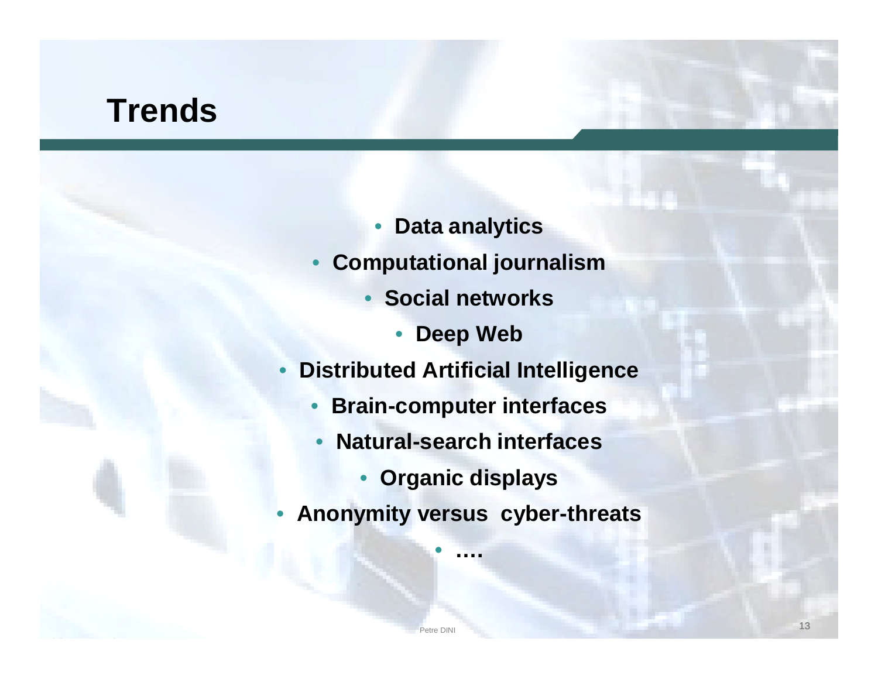### **Trends**

- **Data analytics**
- **Computational journalism**
	- **Social networks**
		- **Deep Web**
- **Distributed Artificial Intelligence**
	- **Brain-computer interfaces**
	- **Natural-search interfaces**
		- **Organic displays**
- **Anonymity versus cyber-threats**

• **….**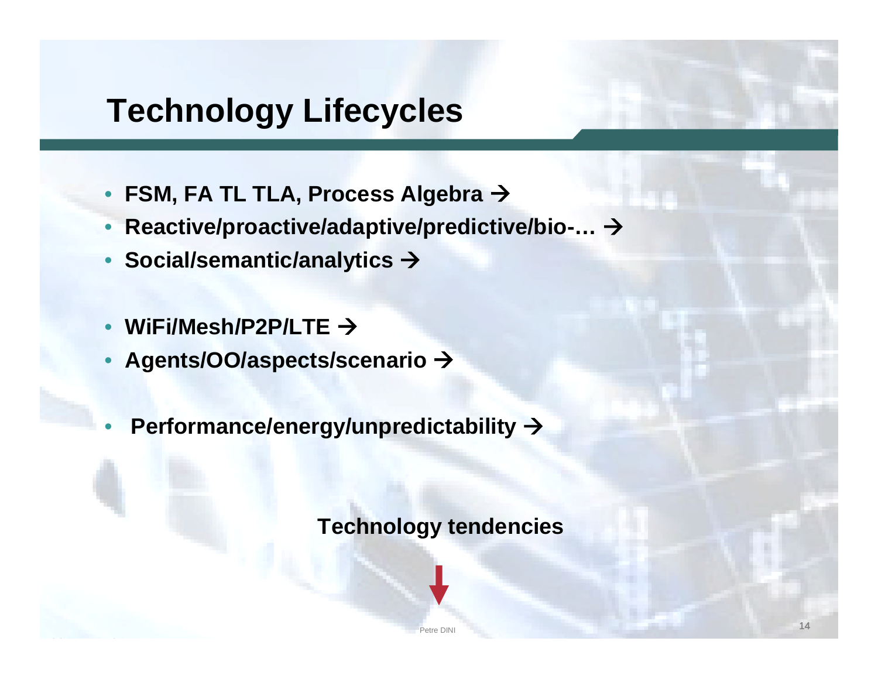## **Technology Lifecycles**

- **FSM, FA TL TLA, Process Algebra**
- **Reactive/proactive/adaptive/predictive/bio-…**
- **Social/semantic/analytics**
- **WiFi/Mesh/P2P/LTE**
- **Agents/OO/aspects/scenario**
- **Performance/energy/unpredictability**

**Technology tendencies**

Petre DINI NATIONAL PROPERTY AND RELEASED FOR THE CONTRACT OF THE CONTRACT OF THE CONTRACT OF THE CONTRACT OF THE CONTRACT OF THE CONTRACT OF THE CONTRACT OF THE CONTRACT OF THE CONTRACT OF THE CONTRACT OF THE CONTRACT OF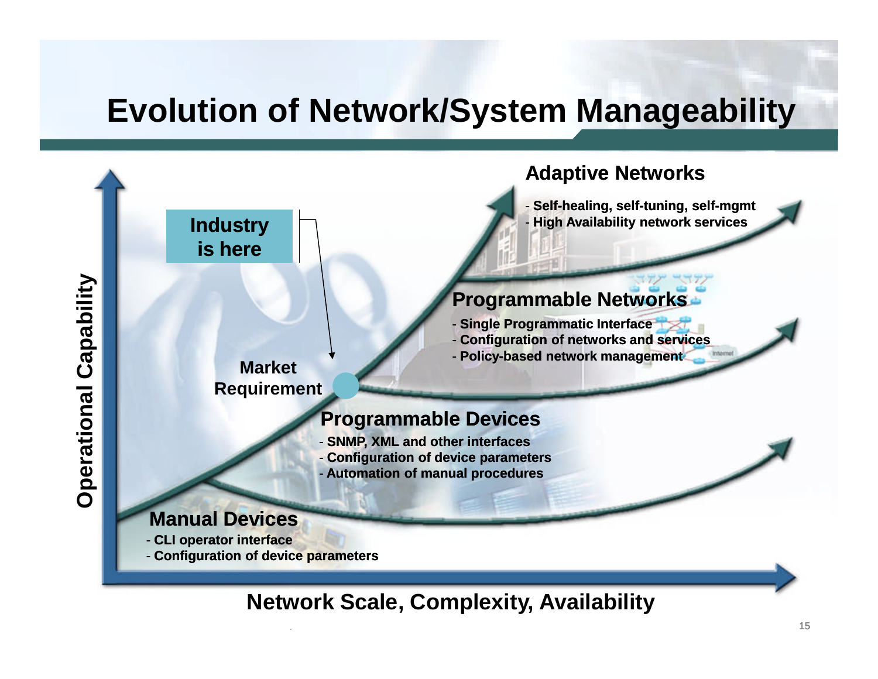## **Evolution of Network/System Manageability**



#### **Network Scale, Complexity, Availability**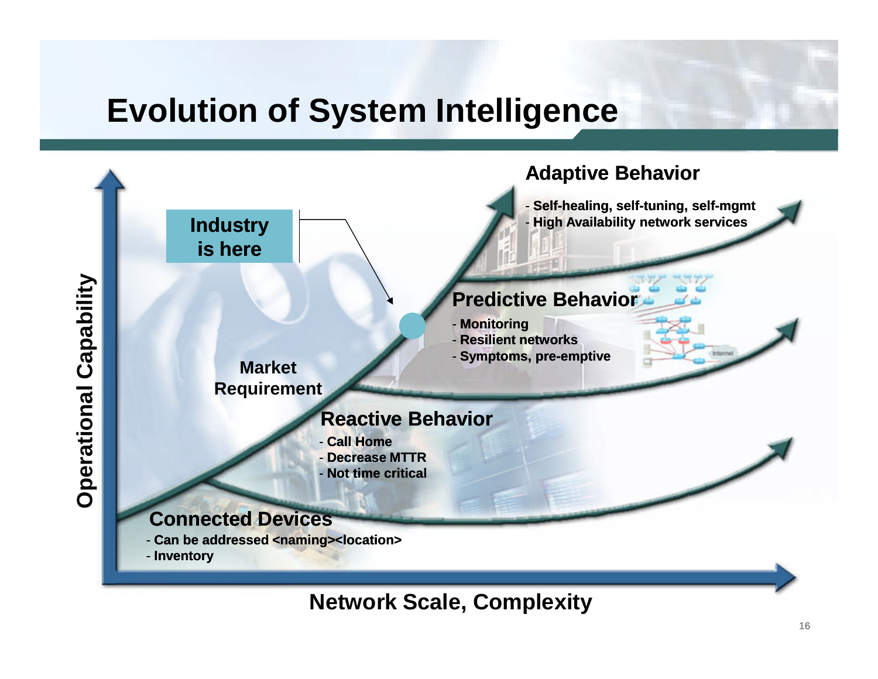## **Evolution of System Intelligence**



**Network Scale, Complexity**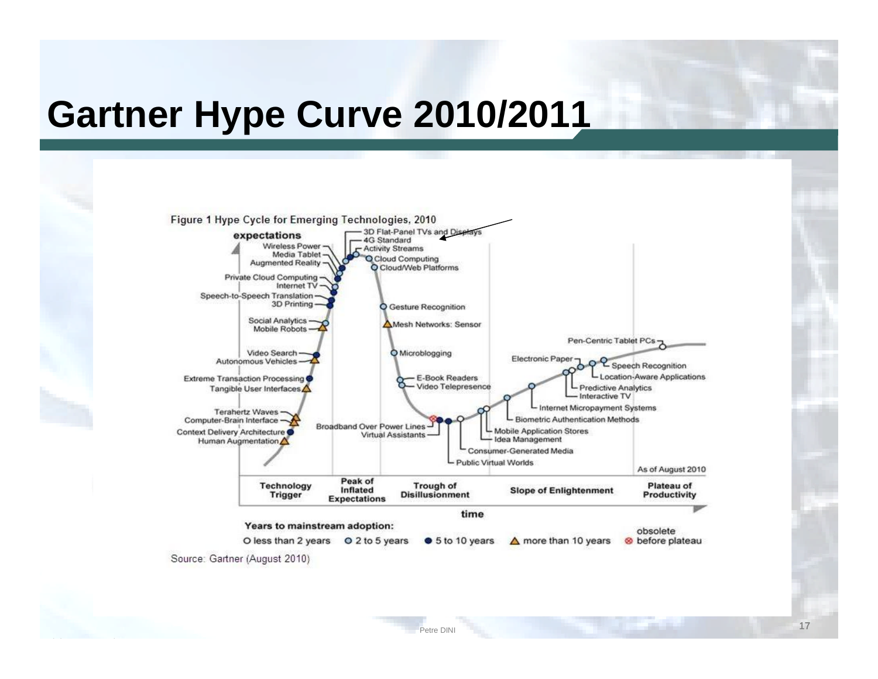# **Gartner Hype Curve 2010/2011**

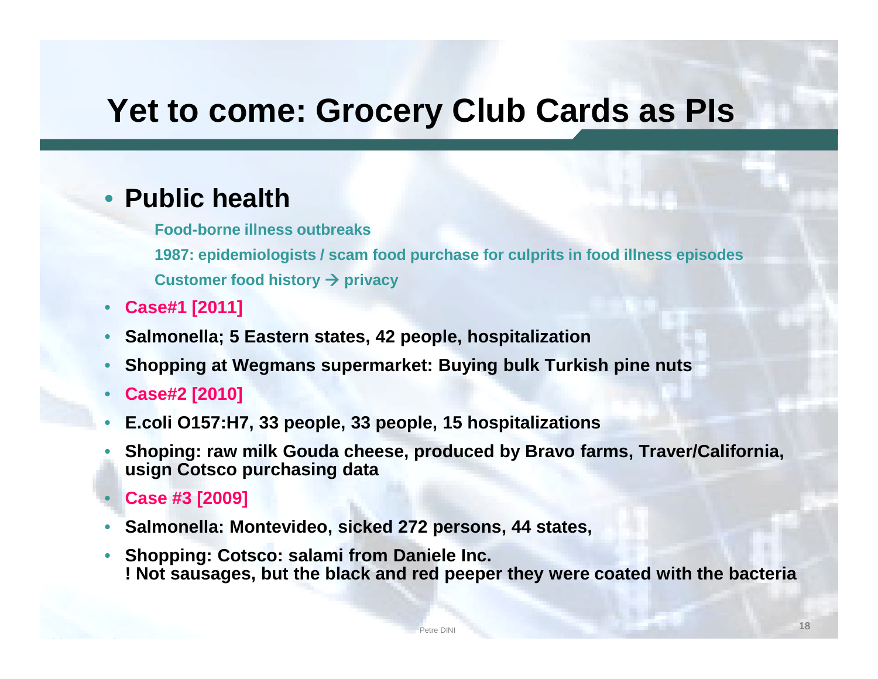### **Yet to come: Grocery Club Cards as PIs**

#### • **Public health**

**Food-borne illness outbreaks**

**1987: epidemiologists / scam food purchase for culprits in food illness episodes Customer food history**  $\rightarrow$  **privacy** 

- **Case#1 [2011]**
- **Salmonella; 5 Eastern states, 42 people, hospitalization**
- **Shopping at Wegmans supermarket: Buying bulk Turkish pine nuts**
- **Case#2 [2010]**
- **E.coli O157:H7, 33 people, 33 people, 15 hospitalizations**
- **Shoping: raw milk Gouda cheese, produced by Bravo farms, Traver/California, usign Cotsco purchasing data**
- **Case #3 [2009]**
- **Salmonella: Montevideo, sicked 272 persons, 44 states,**
- **Shopping: Cotsco: salami from Daniele Inc. ! Not sausages, but the black and red peeper they were coated with the bacteria**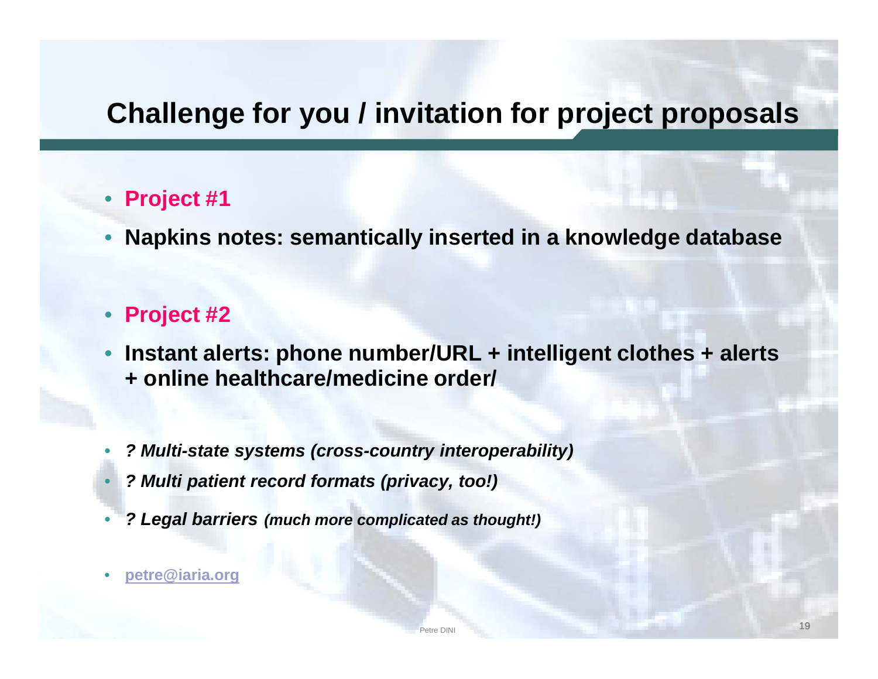### **Challenge for you / invitation for project proposals**

#### • **Project #1**

• **Napkins notes: semantically inserted in a knowledge database**

#### • **Project #2**

- **Instant alerts: phone number/URL + intelligent clothes + alerts + online healthcare/medicine order/**
- *? Multi-state systems (cross-country interoperability)*
- *? Multi patient record formats (privacy, too!)*
- *? Legal barriers (much more complicated as thought!)*
- **petre@iaria.org**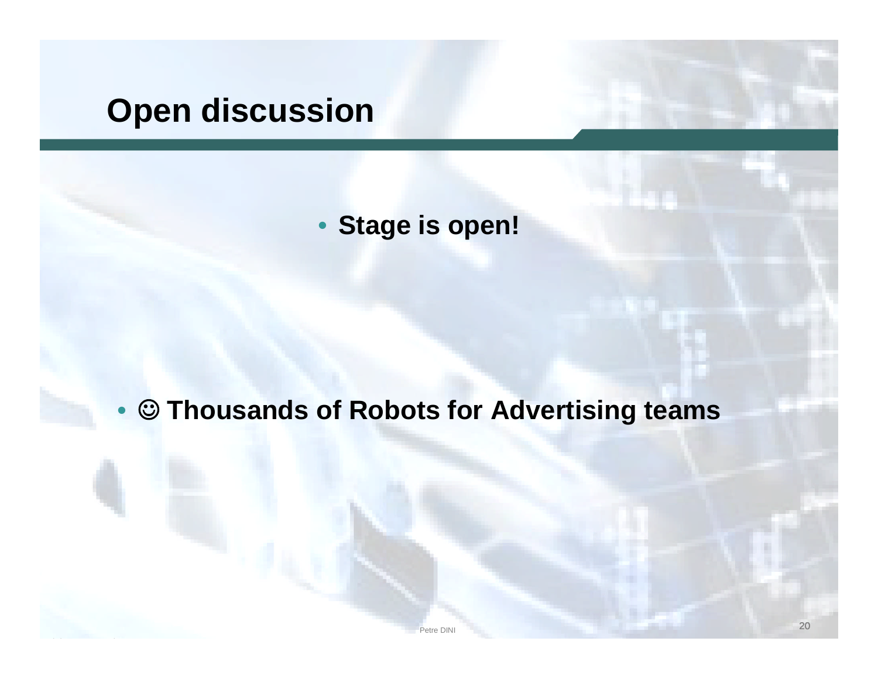### **Open discussion**

• **Stage is open!**

#### • **Thousands of Robots for Advertising teams**